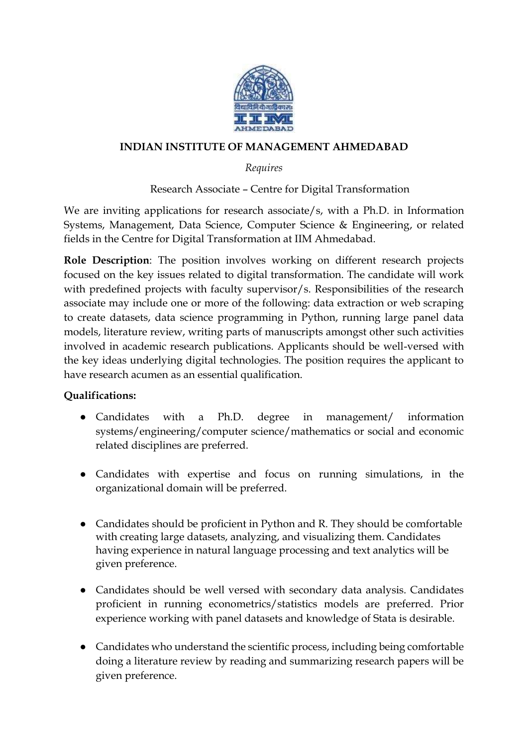

### **INDIAN INSTITUTE OF MANAGEMENT AHMEDABAD**

## *Requires*

# Research Associate – Centre for Digital Transformation

We are inviting applications for research associate/s, with a Ph.D. in Information Systems, Management, Data Science, Computer Science & Engineering, or related fields in the Centre for Digital Transformation at IIM Ahmedabad.

**Role Description**: The position involves working on different research projects focused on the key issues related to digital transformation. The candidate will work with predefined projects with faculty supervisor/s. Responsibilities of the research associate may include one or more of the following: data extraction or web scraping to create datasets, data science programming in Python, running large panel data models, literature review, writing parts of manuscripts amongst other such activities involved in academic research publications. Applicants should be well-versed with the key ideas underlying digital technologies. The position requires the applicant to have research acumen as an essential qualification.

### **Qualifications:**

- Candidates with a Ph.D. degree in management/ information systems/engineering/computer science/mathematics or social and economic related disciplines are preferred.
- Candidates with expertise and focus on running simulations, in the organizational domain will be preferred.
- Candidates should be proficient in Python and R. They should be comfortable with creating large datasets, analyzing, and visualizing them. Candidates having experience in natural language processing and text analytics will be given preference.
- Candidates should be well versed with secondary data analysis. Candidates proficient in running econometrics/statistics models are preferred. Prior experience working with panel datasets and knowledge of Stata is desirable.
- Candidates who understand the scientific process, including being comfortable doing a literature review by reading and summarizing research papers will be given preference.